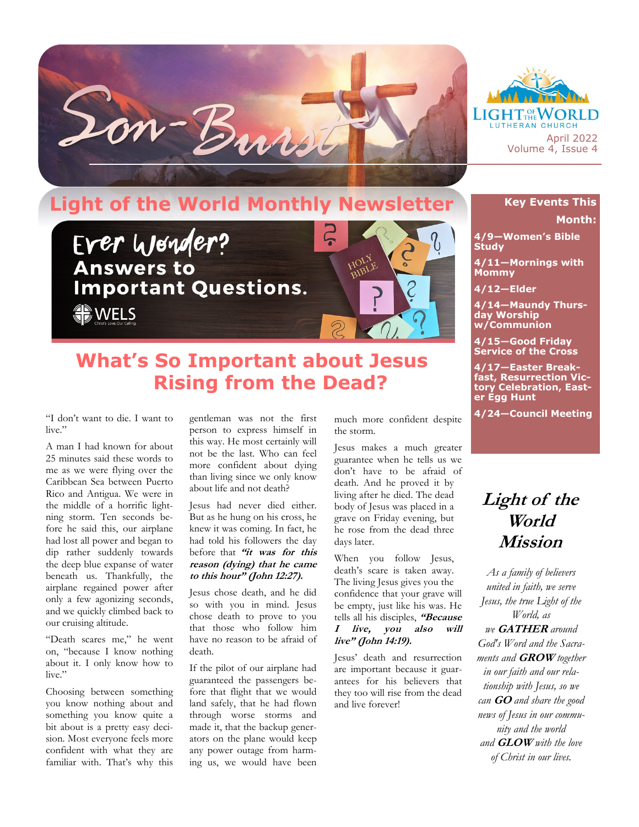



## **Light of the World Monthly Newsletter**



## **What's So Important about Jesus Rising from the Dead?**

"I don't want to die. I want to live."

A man I had known for about 25 minutes said these words to me as we were flying over the Caribbean Sea between Puerto Rico and Antigua. We were in the middle of a horrific lightning storm. Ten seconds before he said this, our airplane had lost all power and began to dip rather suddenly towards the deep blue expanse of water beneath us. Thankfully, the airplane regained power after only a few agonizing seconds, and we quickly climbed back to our cruising altitude.

"Death scares me," he went on, "because I know nothing about it. I only know how to live."

Choosing between something you know nothing about and something you know quite a bit about is a pretty easy decision. Most everyone feels more confident with what they are familiar with. That's why this gentleman was not the first person to express himself in this way. He most certainly will not be the last. Who can feel more confident about dying than living since we only know about life and not death?

Jesus had never died either. But as he hung on his cross, he knew it was coming. In fact, he had told his followers the day before that **"it was for this reason (dying) that he came to this hour" (John 12:27).**

Jesus chose death, and he did so with you in mind. Jesus chose death to prove to you that those who follow him have no reason to be afraid of death.

If the pilot of our airplane had guaranteed the passengers before that flight that we would land safely, that he had flown through worse storms and made it, that the backup generators on the plane would keep any power outage from harming us, we would have been

much more confident despite the storm.

Jesus makes a much greater guarantee when he tells us we don't have to be afraid of death. And he proved it by living after he died. The dead body of Jesus was placed in a grave on Friday evening, but he rose from the dead three days later.

When you follow Jesus, death's scare is taken away. The living Jesus gives you the confidence that your grave will be empty, just like his was. He tells all his disciples, **"Because I live, you also will live" (John 14:19).**

Jesus' death and resurrection are important because it guarantees for his believers that they too will rise from the dead and live forever!

## **Key Events This Month:**

**4/9—Women's Bible Study**

**4/11—Mornings with Mommy**

**4/12—Elder**

**4/14—Maundy Thursday Worship w/Communion**

**4/15—Good Friday Service of the Cross**

**4/17—Easter Breakfast, Resurrection Victory Celebration, Easter Egg Hunt**

**4/24—Council Meeting**

## **Light of the World Mission**

*As a family of believers united in faith, we serve Jesus, the true Light of the World, as we* **GATHER** *around God's Word and the Sacraments and* **GROW** *together in our faith and our relationship with Jesus, so we can* **GO** *and share the good news of Jesus in our community and the world and* **GLOW** *with the love of Christ in our lives.*